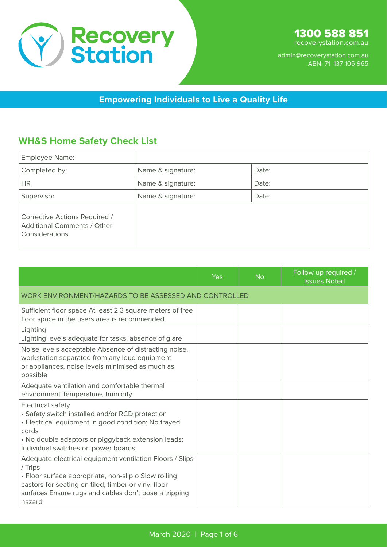

**Empowering Individuals to Live a Quality Life**

### **WH&S Home Safety Check List**

| Employee Name:                                                                        |                   |       |
|---------------------------------------------------------------------------------------|-------------------|-------|
| Completed by:                                                                         | Name & signature: | Date: |
| <b>HR</b>                                                                             | Name & signature: | Date: |
| Supervisor                                                                            | Name & signature: | Date: |
| Corrective Actions Required /<br><b>Additional Comments / Other</b><br>Considerations |                   |       |

|                                                                                                                                                                                                                                                       | Yes | <b>No</b> | Follow up required /<br><b>Issues Noted</b> |
|-------------------------------------------------------------------------------------------------------------------------------------------------------------------------------------------------------------------------------------------------------|-----|-----------|---------------------------------------------|
| WORK ENVIRONMENT/HAZARDS TO BE ASSESSED AND CONTROLLED                                                                                                                                                                                                |     |           |                                             |
| Sufficient floor space At least 2.3 square meters of free<br>floor space in the users area is recommended                                                                                                                                             |     |           |                                             |
| Lighting<br>Lighting levels adequate for tasks, absence of glare                                                                                                                                                                                      |     |           |                                             |
| Noise levels acceptable Absence of distracting noise,<br>workstation separated from any loud equipment<br>or appliances, noise levels minimised as much as<br>possible                                                                                |     |           |                                             |
| Adequate ventilation and comfortable thermal<br>environment Temperature, humidity                                                                                                                                                                     |     |           |                                             |
| <b>Electrical safety</b><br>• Safety switch installed and/or RCD protection<br>• Electrical equipment in good condition; No frayed<br>cords<br>• No double adaptors or piggyback extension leads;<br>Individual switches on power boards              |     |           |                                             |
| Adequate electrical equipment ventilation Floors / Slips<br>/ Trips<br>• Floor surface appropriate, non-slip o Slow rolling<br>castors for seating on tiled, timber or vinyl floor<br>surfaces Ensure rugs and cables don't pose a tripping<br>hazard |     |           |                                             |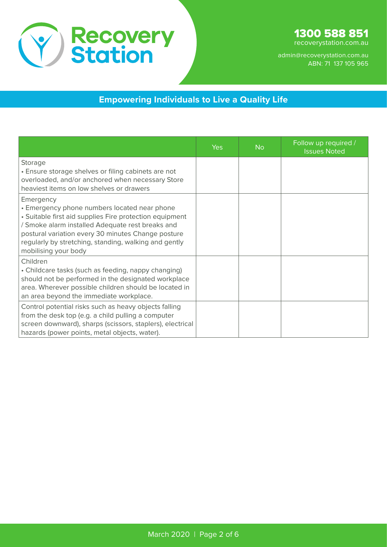

#### **Empowering Individuals to Live a Quality Life**

|                                                                                                                                                                                                                                                                                                                 | Yes | <b>No</b> | Follow up required /<br><b>Issues Noted</b> |
|-----------------------------------------------------------------------------------------------------------------------------------------------------------------------------------------------------------------------------------------------------------------------------------------------------------------|-----|-----------|---------------------------------------------|
| Storage<br>• Ensure storage shelves or filing cabinets are not<br>overloaded, and/or anchored when necessary Store<br>heaviest items on low shelves or drawers                                                                                                                                                  |     |           |                                             |
| Emergency<br>• Emergency phone numbers located near phone<br>• Suitable first aid supplies Fire protection equipment<br>/ Smoke alarm installed Adequate rest breaks and<br>postural variation every 30 minutes Change posture<br>regularly by stretching, standing, walking and gently<br>mobilising your body |     |           |                                             |
| Children<br>• Childcare tasks (such as feeding, nappy changing)<br>should not be performed in the designated workplace<br>area. Wherever possible children should be located in<br>an area beyond the immediate workplace.                                                                                      |     |           |                                             |
| Control potential risks such as heavy objects falling<br>from the desk top (e.g. a child pulling a computer<br>screen downward), sharps (scissors, staplers), electrical<br>hazards (power points, metal objects, water).                                                                                       |     |           |                                             |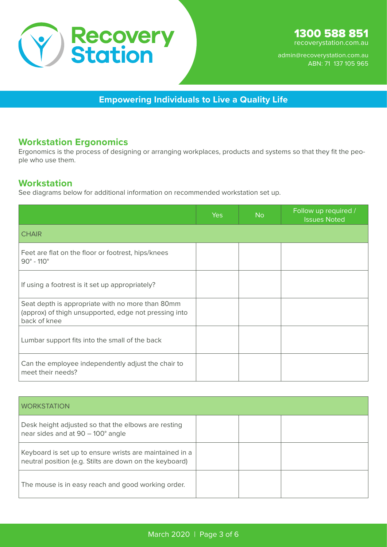

**Empowering Individuals to Live a Quality Life**

#### **Workstation Ergonomics**

Ergonomics is the process of designing or arranging workplaces, products and systems so that they fit the people who use them.

#### **Workstation**

See diagrams below for additional information on recommended workstation set up.

|                                                                                                                           | Yes | <b>No</b> | Follow up required /<br><b>Issues Noted</b> |
|---------------------------------------------------------------------------------------------------------------------------|-----|-----------|---------------------------------------------|
| <b>CHAIR</b>                                                                                                              |     |           |                                             |
| Feet are flat on the floor or footrest, hips/knees<br>$90^{\circ}$ - 110 $^{\circ}$                                       |     |           |                                             |
| If using a footrest is it set up appropriately?                                                                           |     |           |                                             |
| Seat depth is appropriate with no more than 80mm<br>(approx) of thigh unsupported, edge not pressing into<br>back of knee |     |           |                                             |
| Lumbar support fits into the small of the back                                                                            |     |           |                                             |
| Can the employee independently adjust the chair to<br>meet their needs?                                                   |     |           |                                             |

| <b>WORKSTATION</b>                                                                                                 |  |  |
|--------------------------------------------------------------------------------------------------------------------|--|--|
| Desk height adjusted so that the elbows are resting<br>near sides and at 90 - 100° angle                           |  |  |
| Keyboard is set up to ensure wrists are maintained in a<br>neutral position (e.g. Stilts are down on the keyboard) |  |  |
| The mouse is in easy reach and good working order.                                                                 |  |  |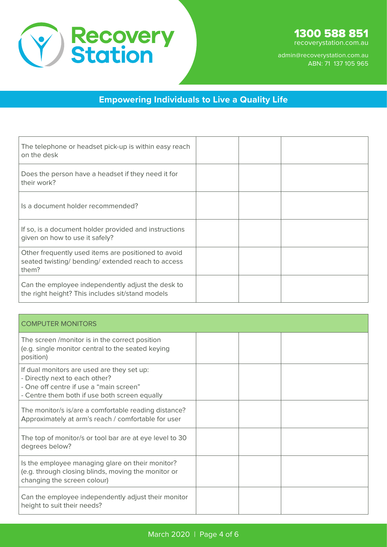

#### **Empowering Individuals to Live a Quality Life**

| The telephone or headset pick-up is within easy reach<br>on the desk                                               |  |  |
|--------------------------------------------------------------------------------------------------------------------|--|--|
| Does the person have a headset if they need it for<br>their work?                                                  |  |  |
| Is a document holder recommended?                                                                                  |  |  |
| If so, is a document holder provided and instructions<br>given on how to use it safely?                            |  |  |
| Other frequently used items are positioned to avoid<br>seated twisting/ bending/ extended reach to access<br>them? |  |  |
| Can the employee independently adjust the desk to<br>the right height? This includes sit/stand models              |  |  |

| <b>COMPUTER MONITORS</b>                                                                                                                                                 |  |  |
|--------------------------------------------------------------------------------------------------------------------------------------------------------------------------|--|--|
| The screen /monitor is in the correct position<br>(e.g. single monitor central to the seated keying<br>position)                                                         |  |  |
| If dual monitors are used are they set up:<br>- Directly next to each other?<br>- One off centre if use a "main screen"<br>- Centre them both if use both screen equally |  |  |
| The monitor/s is/are a comfortable reading distance?<br>Approximately at arm's reach / comfortable for user                                                              |  |  |
| The top of monitor/s or tool bar are at eye level to 30<br>degrees below?                                                                                                |  |  |
| Is the employee managing glare on their monitor?<br>(e.g. through closing blinds, moving the monitor or<br>changing the screen colour)                                   |  |  |
| Can the employee independently adjust their monitor<br>height to suit their needs?                                                                                       |  |  |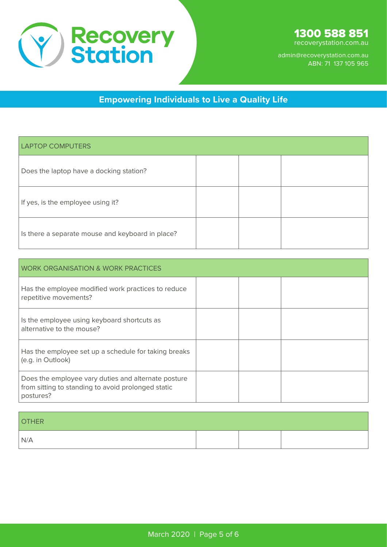

recoverystation.com.au

admin@recoverystation.com.au ABN: 71 137 105 965

# **Empowering Individuals to Live a Quality Life**

| <b>LAPTOP COMPUTERS</b>                          |  |  |
|--------------------------------------------------|--|--|
| Does the laptop have a docking station?          |  |  |
| If yes, is the employee using it?                |  |  |
| Is there a separate mouse and keyboard in place? |  |  |

| <b>WORK ORGANISATION &amp; WORK PRACTICES</b>                                                                          |  |  |  |  |
|------------------------------------------------------------------------------------------------------------------------|--|--|--|--|
| Has the employee modified work practices to reduce<br>repetitive movements?                                            |  |  |  |  |
| Is the employee using keyboard shortcuts as<br>alternative to the mouse?                                               |  |  |  |  |
| Has the employee set up a schedule for taking breaks<br>(e.g. in Outlook)                                              |  |  |  |  |
| Does the employee vary duties and alternate posture<br>from sitting to standing to avoid prolonged static<br>postures? |  |  |  |  |

| <b>OTHER</b> |  |  |
|--------------|--|--|
| N/A          |  |  |